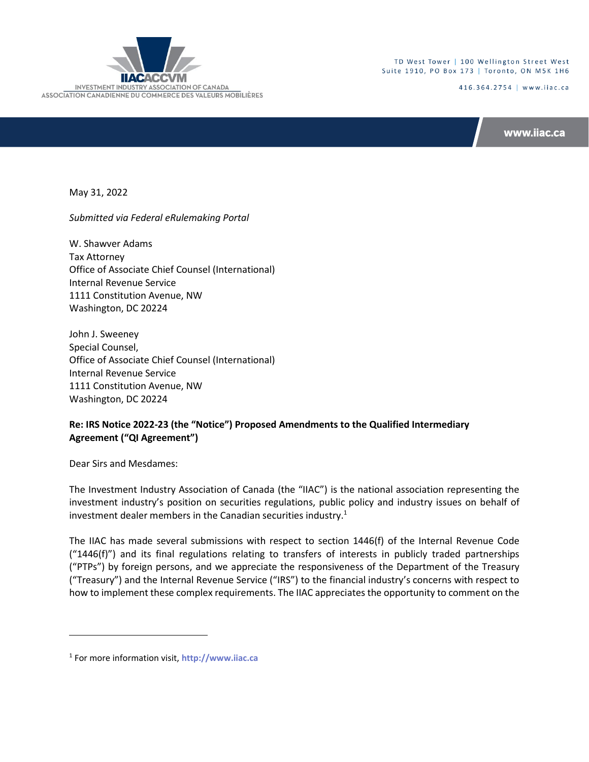

TD West Tower | 100 Wellington Street West Suite 1910, PO Box 173 | Toronto, ON M5K 1H6

416.364.2754 | www.iiac.ca

www.iiac.ca

May 31, 2022

*Submitted via Federal eRulemaking Portal*

W. Shawver Adams Tax Attorney Office of Associate Chief Counsel (International) Internal Revenue Service 1111 Constitution Avenue, NW Washington, DC 20224

John J. Sweeney Special Counsel, Office of Associate Chief Counsel (International) Internal Revenue Service 1111 Constitution Avenue, NW Washington, DC 20224

# **Re: IRS Notice 2022-23 (the "Notice") Proposed Amendments to the Qualified Intermediary Agreement ("QI Agreement")**

Dear Sirs and Mesdames:

The Investment Industry Association of Canada (the "IIAC") is the national association representing the investment industry's position on securities regulations, public policy and industry issues on behalf of investment dealer members in the Canadian securities industry.<sup>1</sup>

The IIAC has made several submissions with respect to section 1446(f) of the Internal Revenue Code  $("1446(f)")$  and its final regulations relating to transfers of interests in publicly traded partnerships ("PTPs") by foreign persons, and we appreciate the responsiveness of the Department of the Treasury ("Treasury") and the Internal Revenue Service ("IRS") to the financial industry's concerns with respect to how to implement these complex requirements. The IIAC appreciates the opportunity to comment on the

<sup>1</sup> For more information visit, **[http://www.iiac.ca](http://www.iiac.ca/)**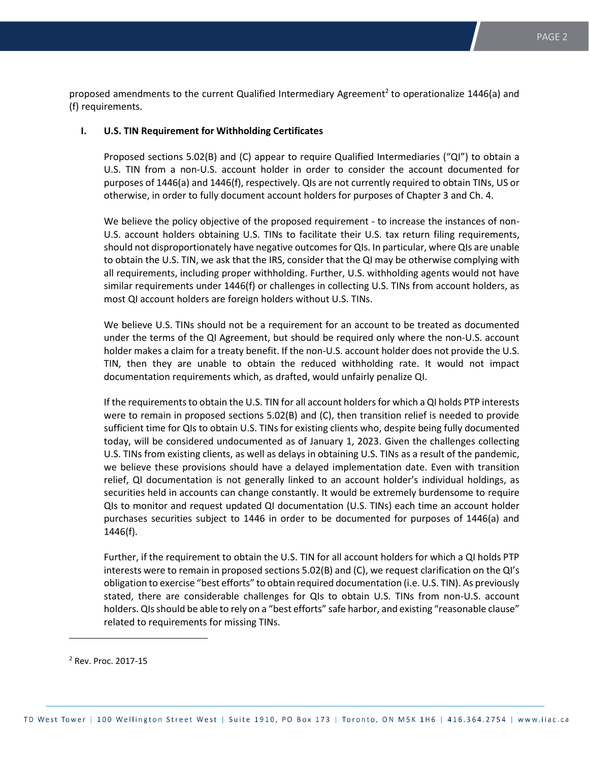proposed amendments to the current Qualified Intermediary Agreement<sup>2</sup> to operationalize 1446(a) and (f) requirements.

# **I. U.S. TIN Requirement for Withholding Certificates**

Proposed sections 5.02(B) and (C) appear to require Qualified Intermediaries ("QI") to obtain a U.S. TIN from a non-U.S. account holder in order to consider the account documented for purposes of 1446(a) and 1446(f), respectively. QIs are not currently required to obtain TINs, US or otherwise, in order to fully document account holders for purposes of Chapter 3 and Ch. 4.

We believe the policy objective of the proposed requirement - to increase the instances of non-U.S. account holders obtaining U.S. TINs to facilitate their U.S. tax return filing requirements, should not disproportionately have negative outcomes for QIs. In particular, where QIs are unable to obtain the U.S. TIN, we ask that the IRS, consider that the QI may be otherwise complying with all requirements, including proper withholding. Further, U.S. withholding agents would not have similar requirements under 1446(f) or challenges in collecting U.S. TINs from account holders, as most QI account holders are foreign holders without U.S. TINs.

We believe U.S. TINs should not be a requirement for an account to be treated as documented under the terms of the QI Agreement, but should be required only where the non-U.S. account holder makes a claim for a treaty benefit. If the non-U.S. account holder does not provide the U.S. TIN, then they are unable to obtain the reduced withholding rate. It would not impact documentation requirements which, as drafted, would unfairly penalize QI.

If the requirements to obtain the U.S. TIN for all account holders for which a QI holds PTP interests were to remain in proposed sections 5.02(B) and (C), then transition relief is needed to provide sufficient time for QIs to obtain U.S. TINs for existing clients who, despite being fully documented today, will be considered undocumented as of January 1, 2023. Given the challenges collecting U.S. TINs from existing clients, as well as delays in obtaining U.S. TINs as a result of the pandemic, we believe these provisions should have a delayed implementation date. Even with transition relief, QI documentation is not generally linked to an account holder's individual holdings, as securities held in accounts can change constantly. It would be extremely burdensome to require QIs to monitor and request updated QI documentation (U.S. TINs) each time an account holder purchases securities subject to 1446 in order to be documented for purposes of 1446(a) and 1446(f).

Further, if the requirement to obtain the U.S. TIN for all account holders for which a QI holds PTP interests were to remain in proposed sections 5.02(B) and (C), we request clarification on the QI's obligation to exercise "best efforts" to obtain required documentation (i.e. U.S. TIN). As previously stated, there are considerable challenges for QIs to obtain U.S. TINs from non-U.S. account holders. QIs should be able to rely on a "best efforts" safe harbor, and existing "reasonable clause" related to requirements for missing TINs.

<sup>2</sup> Rev. Proc. 2017-15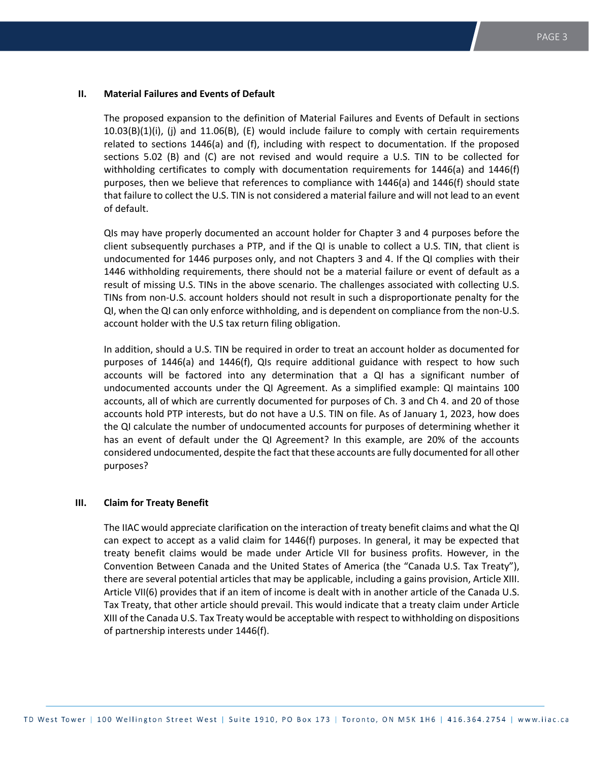### **II. Material Failures and Events of Default**

The proposed expansion to the definition of Material Failures and Events of Default in sections 10.03(B)(1)(i), (j) and 11.06(B), (E) would include failure to comply with certain requirements related to sections 1446(a) and (f), including with respect to documentation. If the proposed sections 5.02 (B) and (C) are not revised and would require a U.S. TIN to be collected for withholding certificates to comply with documentation requirements for 1446(a) and 1446(f) purposes, then we believe that references to compliance with 1446(a) and 1446(f) should state that failure to collect the U.S. TIN is not considered a material failure and will not lead to an event of default.

QIs may have properly documented an account holder for Chapter 3 and 4 purposes before the client subsequently purchases a PTP, and if the QI is unable to collect a U.S. TIN, that client is undocumented for 1446 purposes only, and not Chapters 3 and 4. If the QI complies with their 1446 withholding requirements, there should not be a material failure or event of default as a result of missing U.S. TINs in the above scenario. The challenges associated with collecting U.S. TINs from non-U.S. account holders should not result in such a disproportionate penalty for the QI, when the QI can only enforce withholding, and is dependent on compliance from the non-U.S. account holder with the U.S tax return filing obligation.

In addition, should a U.S. TIN be required in order to treat an account holder as documented for purposes of 1446(a) and 1446(f), QIs require additional guidance with respect to how such accounts will be factored into any determination that a QI has a significant number of undocumented accounts under the QI Agreement. As a simplified example: QI maintains 100 accounts, all of which are currently documented for purposes of Ch. 3 and Ch 4. and 20 of those accounts hold PTP interests, but do not have a U.S. TIN on file. As of January 1, 2023, how does the QI calculate the number of undocumented accounts for purposes of determining whether it has an event of default under the QI Agreement? In this example, are 20% of the accounts considered undocumented, despite the fact that these accounts are fully documented for all other purposes?

# **III. Claim for Treaty Benefit**

The IIAC would appreciate clarification on the interaction of treaty benefit claims and what the QI can expect to accept as a valid claim for 1446(f) purposes. In general, it may be expected that treaty benefit claims would be made under Article VII for business profits. However, in the Convention Between Canada and the United States of America (the "Canada U.S. Tax Treaty"), there are several potential articles that may be applicable, including a gains provision, Article XIII. Article VII(6) provides that if an item of income is dealt with in another article of the Canada U.S. Tax Treaty, that other article should prevail. This would indicate that a treaty claim under Article XIII of the Canada U.S. Tax Treaty would be acceptable with respect to withholding on dispositions of partnership interests under 1446(f).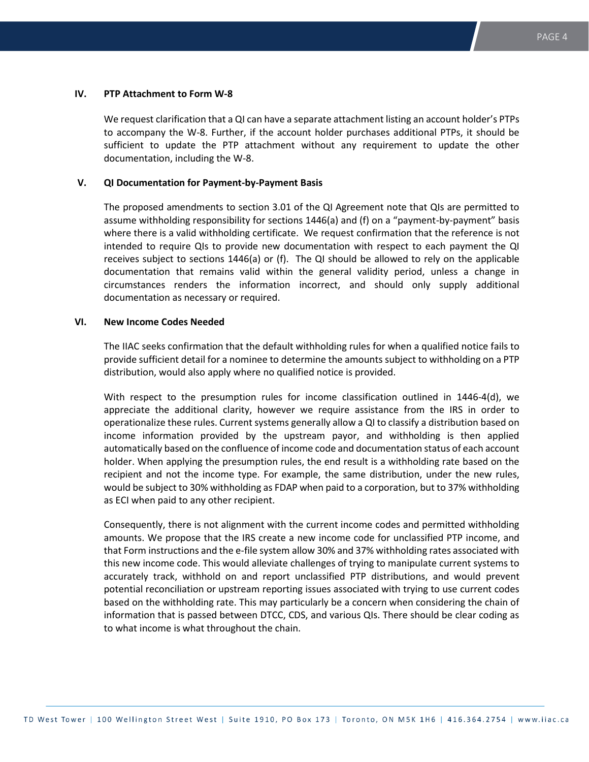## **IV. PTP Attachment to Form W-8**

We request clarification that a QI can have a separate attachment listing an account holder's PTPs to accompany the W-8. Further, if the account holder purchases additional PTPs, it should be sufficient to update the PTP attachment without any requirement to update the other documentation, including the W-8.

#### **V. QI Documentation for Payment-by-Payment Basis**

The proposed amendments to section 3.01 of the QI Agreement note that QIs are permitted to assume withholding responsibility for sections 1446(a) and (f) on a "payment-by-payment" basis where there is a valid withholding certificate. We request confirmation that the reference is not intended to require QIs to provide new documentation with respect to each payment the QI receives subject to sections 1446(a) or (f). The QI should be allowed to rely on the applicable documentation that remains valid within the general validity period, unless a change in circumstances renders the information incorrect, and should only supply additional documentation as necessary or required.

### **VI. New Income Codes Needed**

The IIAC seeks confirmation that the default withholding rules for when a qualified notice fails to provide sufficient detail for a nominee to determine the amounts subject to withholding on a PTP distribution, would also apply where no qualified notice is provided.

With respect to the presumption rules for income classification outlined in 1446-4(d), we appreciate the additional clarity, however we require assistance from the IRS in order to operationalize these rules. Current systems generally allow a QI to classify a distribution based on income information provided by the upstream payor, and withholding is then applied automatically based on the confluence of income code and documentation status of each account holder. When applying the presumption rules, the end result is a withholding rate based on the recipient and not the income type. For example, the same distribution, under the new rules, would be subject to 30% withholding as FDAP when paid to a corporation, but to 37% withholding as ECI when paid to any other recipient.

Consequently, there is not alignment with the current income codes and permitted withholding amounts. We propose that the IRS create a new income code for unclassified PTP income, and that Form instructions and the e-file system allow 30% and 37% withholding rates associated with this new income code. This would alleviate challenges of trying to manipulate current systems to accurately track, withhold on and report unclassified PTP distributions, and would prevent potential reconciliation or upstream reporting issues associated with trying to use current codes based on the withholding rate. This may particularly be a concern when considering the chain of information that is passed between DTCC, CDS, and various QIs. There should be clear coding as to what income is what throughout the chain.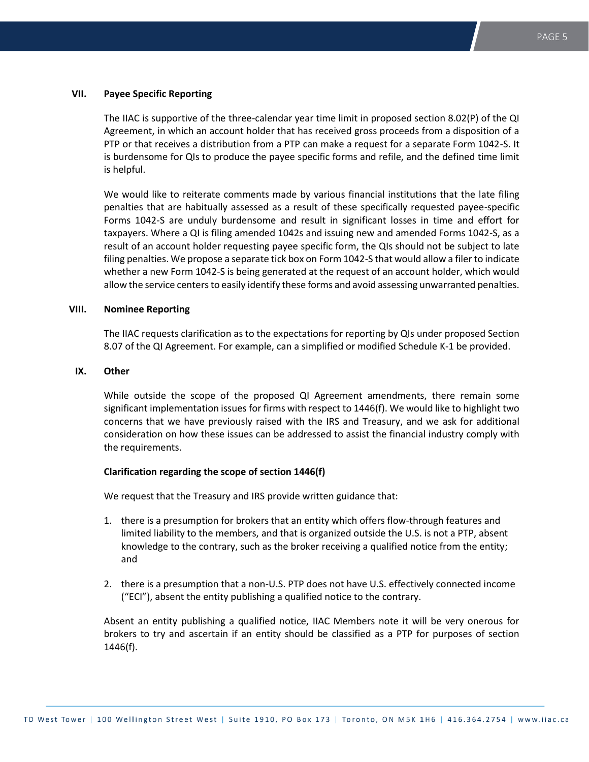# **VII. Payee Specific Reporting**

The IIAC is supportive of the three-calendar year time limit in proposed section 8.02(P) of the QI Agreement, in which an account holder that has received gross proceeds from a disposition of a PTP or that receives a distribution from a PTP can make a request for a separate Form 1042-S. It is burdensome for QIs to produce the payee specific forms and refile, and the defined time limit is helpful.

We would like to reiterate comments made by various financial institutions that the late filing penalties that are habitually assessed as a result of these specifically requested payee-specific Forms 1042-S are unduly burdensome and result in significant losses in time and effort for taxpayers. Where a QI is filing amended 1042s and issuing new and amended Forms 1042-S, as a result of an account holder requesting payee specific form, the QIs should not be subject to late filing penalties. We propose a separate tick box on Form 1042-S that would allow a filer to indicate whether a new Form 1042-S is being generated at the request of an account holder, which would allow the service centers to easily identify these forms and avoid assessing unwarranted penalties.

# **VIII. Nominee Reporting**

The IIAC requests clarification as to the expectations for reporting by QIs under proposed Section 8.07 of the QI Agreement. For example, can a simplified or modified Schedule K-1 be provided.

# **IX. Other**

While outside the scope of the proposed QI Agreement amendments, there remain some significant implementation issues for firms with respect to 1446(f). We would like to highlight two concerns that we have previously raised with the IRS and Treasury, and we ask for additional consideration on how these issues can be addressed to assist the financial industry comply with the requirements.

### **Clarification regarding the scope of section 1446(f)**

We request that the Treasury and IRS provide written guidance that:

- 1. there is a presumption for brokers that an entity which offers flow-through features and limited liability to the members, and that is organized outside the U.S. is not a PTP, absent knowledge to the contrary, such as the broker receiving a qualified notice from the entity; and
- 2. there is a presumption that a non-U.S. PTP does not have U.S. effectively connected income ("ECI"), absent the entity publishing a qualified notice to the contrary.

Absent an entity publishing a qualified notice, IIAC Members note it will be very onerous for brokers to try and ascertain if an entity should be classified as a PTP for purposes of section 1446(f).